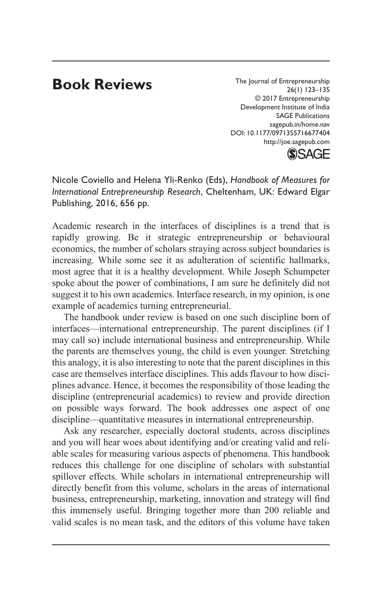## **Book Reviews**

The Journal of Entrepreneurship 26(1) 123–135 © 2017 Entrepreneurship Development Institute of India SAGE Publications sagepub.in/home.nav DOI: 10.1177/0971355716677404 http://joe.sagepub.com



Nicole Coviello and Helena Yli-Renko (Eds), *Handbook of Measures for International Entrepreneurship Research*, Cheltenham, UK: Edward Elgar Publishing, 2016, 656 pp.

Academic research in the interfaces of disciplines is a trend that is rapidly growing. Be it strategic entrepreneurship or behavioural economics, the number of scholars straying across subject boundaries is increasing. While some see it as adulteration of scientific hallmarks, most agree that it is a healthy development. While Joseph Schumpeter spoke about the power of combinations, I am sure he definitely did not suggest it to his own academics. Interface research, in my opinion, is one example of academics turning entrepreneurial.

The handbook under review is based on one such discipline born of interfaces—international entrepreneurship. The parent disciplines (if I may call so) include international business and entrepreneurship. While the parents are themselves young, the child is even younger. Stretching this analogy, it is also interesting to note that the parent disciplines in this case are themselves interface disciplines. This adds flavour to how disciplines advance. Hence, it becomes the responsibility of those leading the discipline (entrepreneurial academics) to review and provide direction on possible ways forward. The book addresses one aspect of one discipline—quantitative measures in international entrepreneurship.

Ask any researcher, especially doctoral students, across disciplines and you will hear woes about identifying and/or creating valid and reliable scales for measuring various aspects of phenomena. This handbook reduces this challenge for one discipline of scholars with substantial spillover effects. While scholars in international entrepreneurship will directly benefit from this volume, scholars in the areas of international business, entrepreneurship, marketing, innovation and strategy will find this immensely useful. Bringing together more than 200 reliable and valid scales is no mean task, and the editors of this volume have taken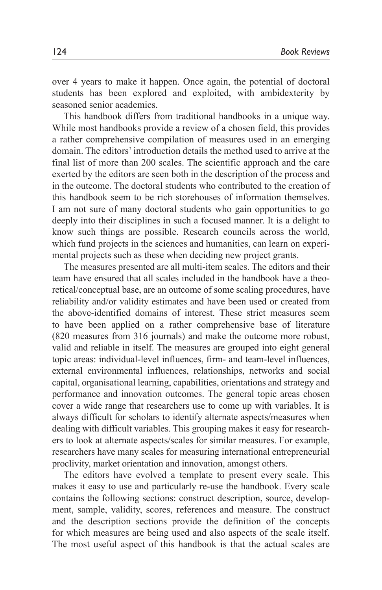over 4 years to make it happen. Once again, the potential of doctoral students has been explored and exploited, with ambidexterity by seasoned senior academics.

This handbook differs from traditional handbooks in a unique way. While most handbooks provide a review of a chosen field, this provides a rather comprehensive compilation of measures used in an emerging domain. The editors' introduction details the method used to arrive at the final list of more than 200 scales. The scientific approach and the care exerted by the editors are seen both in the description of the process and in the outcome. The doctoral students who contributed to the creation of this handbook seem to be rich storehouses of information themselves. I am not sure of many doctoral students who gain opportunities to go deeply into their disciplines in such a focused manner. It is a delight to know such things are possible. Research councils across the world, which fund projects in the sciences and humanities, can learn on experimental projects such as these when deciding new project grants.

The measures presented are all multi-item scales. The editors and their team have ensured that all scales included in the handbook have a theoretical/conceptual base, are an outcome of some scaling procedures, have reliability and/or validity estimates and have been used or created from the above-identified domains of interest. These strict measures seem to have been applied on a rather comprehensive base of literature (820 measures from 316 journals) and make the outcome more robust, valid and reliable in itself. The measures are grouped into eight general topic areas: individual-level influences, firm- and team-level influences, external environmental influences, relationships, networks and social capital, organisational learning, capabilities, orientations and strategy and performance and innovation outcomes. The general topic areas chosen cover a wide range that researchers use to come up with variables. It is always difficult for scholars to identify alternate aspects/measures when dealing with difficult variables. This grouping makes it easy for researchers to look at alternate aspects/scales for similar measures. For example, researchers have many scales for measuring international entrepreneurial proclivity, market orientation and innovation, amongst others.

The editors have evolved a template to present every scale. This makes it easy to use and particularly re-use the handbook. Every scale contains the following sections: construct description, source, development, sample, validity, scores, references and measure. The construct and the description sections provide the definition of the concepts for which measures are being used and also aspects of the scale itself. The most useful aspect of this handbook is that the actual scales are